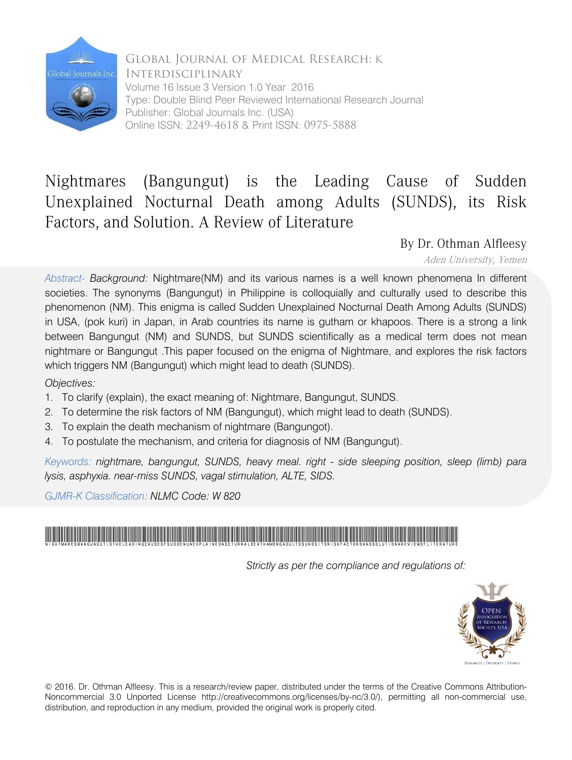

Global Journal of Medical Research: K Interdisciplinary Volume 16 Issue 3 Version 1.0 Year 2016 Type: Double Blind Peer Reviewed International Research Journal Publisher: Global Journals Inc. (USA) Online ISSN: 2249-4618 & Print ISSN: 0975-5888

## Nightmares (Bangungut) is the Leading Cause of Sudden Unexplained Nocturnal Death among Adults (SUNDS), its Risk Factors, and Solution. A Review of Literature

By Dr. Othman Alfleesy

Aden University, Yemen

*Abstract- Background:* Nightmare(NM) and its various names is a well known phenomena In different societies. The synonyms (Bangungut) in Philippine is colloquially and culturally used to describe this phenomenon (NM). This enigma is called Sudden Unexplained Nocturnal Death Among Adults (SUNDS) in USA, (pok kuri) in Japan, in Arab countries its name is gutham or khapoos. There is a strong a link between Bangungut (NM) and SUNDS, but SUNDS scientifically as a medical term does not mean nightmare or Bangungut .This paper focused on the enigma of Nightmare, and explores the risk factors which triggers NM (Bangungut) which might lead to death (SUNDS).

*Objectives:*

- 1. To clarify (explain), the exact meaning of: Nightmare, Bangungut, SUNDS.
- 2. To determine the risk factors of NM (Bangungut), which might lead to death (SUNDS).
- 3. To explain the death mechanism of nightmare (Bangungot).
- 4. To postulate the mechanism, and criteria for diagnosis of NM (Bangungut).

*Keywords: nightmare, bangungut, SUNDS, heavy meal. right - side sleeping position, sleep (limb) para lysis, asphyxia. near-miss SUNDS, vagal stimulation, ALTE, SIDS.*

*GJMR-K Classification: NLMC Code: W 820*



 *Strictly as per the compliance and regulations of:*



© 2016. Dr. Othman Alfleesy. This is a research/review paper, distributed under the terms of the Creative Commons Attribution-Noncommercial 3.0 Unported License http://creativecommons.org/licenses/by-nc/3.0/), permitting all non-commercial use, distribution, and reproduction in any medium, provided the original work is properly cited.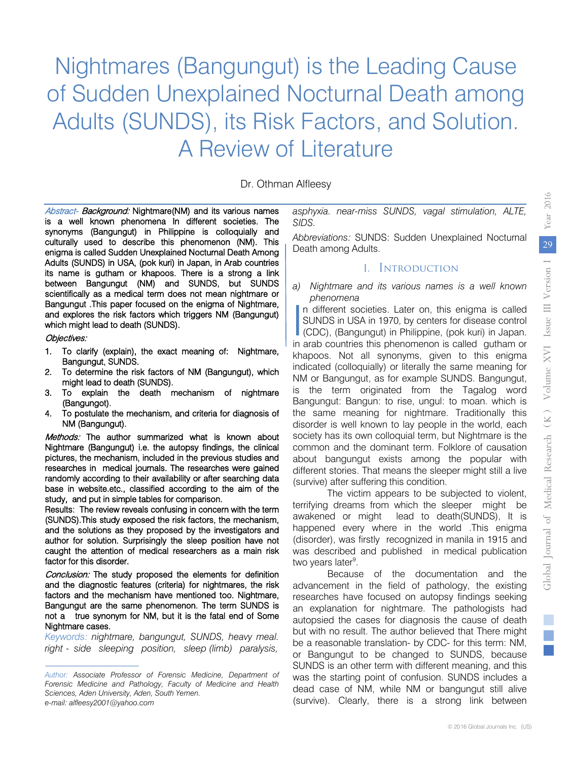# Nightmares (Bangungut) is the Leading Cause of Sudden Unexplained Nocturnal Death among Adults (SUNDS), its Risk Factors, and Solution. A Review of Literature

Dr. Othman Alfleesy

Abstract- Background: Nightmare(NM) and its various names is a well known phenomena In different societies. The synonyms (Bangungut) in Philippine is colloquially and culturally used to describe this phenomenon (NM). This enigma is called Sudden Unexplained Nocturnal Death Among Adults (SUNDS) in USA, (pok kuri) in Japan, in Arab countries its name is gutham or khapoos. There is a strong a link between Bangungut (NM) and SUNDS, but SUNDS scientifically as a medical term does not mean nightmare or Bangungut .This paper focused on the enigma of Nightmare, and explores the risk factors which triggers NM (Bangungut) which might lead to death (SUNDS).

#### Objectives:

- 1. To clarify (explain), the exact meaning of: Nightmare, Bangungut, SUNDS.
- 2. To determine the risk factors of NM (Bangungut), which might lead to death (SUNDS).
- 3. To explain the death mechanism of nightmare (Bangungot).
- 4. To postulate the mechanism, and criteria for diagnosis of NM (Bangungut).

Methods: The author summarized what is known about Nightmare (Bangungut) i.e. the autopsy findings, the clinical pictures, the mechanism, included in the previous studies and researches in medical journals. The researches were gained randomly according to their availability or after searching data base in website.etc., classified according to the aim of the study, and put in simple tables for comparison.

Results: The review reveals confusing in concern with the term (SUNDS).This study exposed the risk factors, the mechanism, and the solutions as they proposed by the investigators and author for solution. Surprisingly the sleep position have not caught the attention of medical researchers as a main risk factor for this disorder.

Conclusion: The study proposed the elements for definition and the diagnostic features (criteria) for nightmares, the risk factors and the mechanism have mentioned too. Nightmare, Bangungut are the same phenomenon. The term SUNDS is not a true synonym for NM, but it is the fatal end of Some Nightmare cases.

*Keywords: nightmare, bangungut, SUNDS, heavy meal. right - side sleeping position, sleep (limb) paralysis,*

*asphyxia. near-miss SUNDS, vagal stimulation, ALTE, SIDS.* 

*Abbreviations:* SUNDS: Sudden Unexplained Nocturnal Death among Adults.

#### I. Introduction

*a) Nightmare and its various names is a well known phenomena* 

n different societies. Later on, this enigma is called SUNDS in USA in 1970, by centers for disease control In different societies. Later on, this enigma is called<br>
SUNDS in USA in 1970, by centers for disease control<br>
(CDC), (Bangungut) in Philippine, (pok kuri) in Japan.<br>
in arch countries this phonomenon is called guthern or in arab countries this phenomenon is called gutham or khapoos. Not all synonyms, given to this enigma indicated (colloquially) or literally the same meaning for NM or Bangungut, as for example SUNDS. Bangungut, is the term originated from the Tagalog word Bangungut: Bangun: to rise, ungul: to moan. which is the same meaning for nightmare. Traditionally this disorder is well known to lay people in the world, each society has its own colloquial term, but Nightmare is the common and the dominant term. Folklore of causation about bangungut exists among the popular with different stories. That means the sleeper might still a live (survive) after suffering this condition.

The victim appears to be subjected to violent, terrifying dreams from which the sleeper might be awakened or might lead to death(SUNDS), It is happened every where in the world .This enigma (disorder), was firstly recognized in manila in 1915 and was described and published in medical publication two years later<sup>9</sup>.

Because of the documentation and the advancement in the field of pathology, the existing researches have focused on autopsy findings seeking an explanation for nightmare. The pathologists had autopsied the cases for diagnosis the cause of death but with no result. The author believed that There might be a reasonable translation- by CDC- for this term: NM, or Bangungut to be changed to SUNDS, because SUNDS is an other term with different meaning, and this was the starting point of confusion. SUNDS includes a dead case of NM, while NM or bangungut still alive (survive). Clearly, there is a strong link between

*Author: Associate Professor of Forensic Medicine, Department of Forensic Medicine and Pathology, Faculty of Medicine and Health Sciences, Aden University, Aden, South Yemen. e-mail: alfleesy2001@yahoo.com*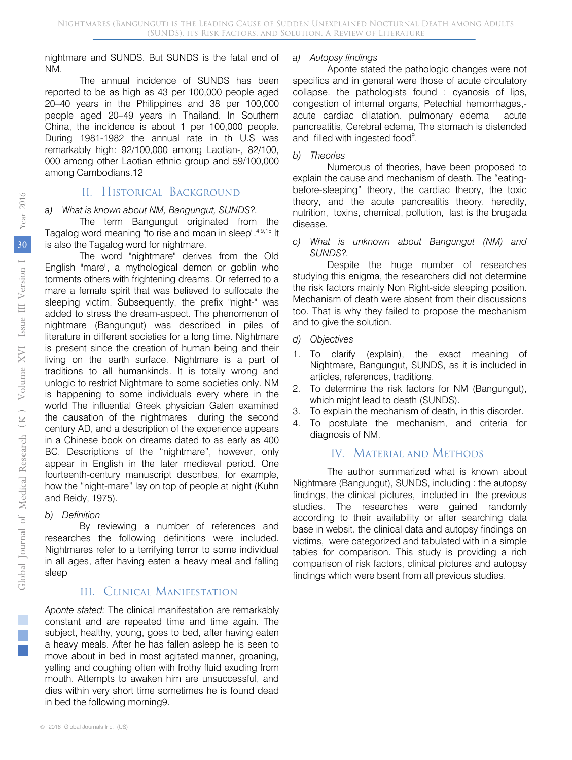nightmare and SUNDS. But SUNDS is the fatal end of NM.

The annual incidence of SUNDS has been reported to be as high as 43 per 100,000 people aged 20–40 years in the Philippines and 38 per 100,000 people aged 20–49 years in Thailand. In Southern China, the incidence is about 1 per 100,000 people. During 1981-1982 the annual rate in th U.S was remarkably high: 92/100,000 among Laotian-, 82/100, 000 among other Laotian ethnic group and 59/100,000 among Cambodians.12

#### II. Historical Background

#### *a) What is known about NM, Bangungut, SUNDS?.*

The term Bangungut originated from the Tagalog word meaning "to rise and moan in sleep".4,9,15 It is also the Tagalog word for nightmare.

The word "nightmare" derives from the Old English "mare", a mythological demon or goblin who torments others with frightening dreams. Or referred to a mare a female spirit that was believed to suffocate the sleeping victim. Subsequently, the prefix "night-" was added to stress the dream-aspect. The phenomenon of nightmare (Bangungut) was described in piles of literature in different societies for a long time. Nightmare is present since the creation of human being and their living on the earth surface. Nightmare is a part of traditions to all humankinds. It is totally wrong and unlogic to restrict Nightmare to some societies only. NM is happening to some individuals every where in the world The influential Greek physician Galen examined the causation of the nightmares during the second century AD, and a description of the experience appears in a Chinese book on dreams dated to as early as 400 BC. Descriptions of the "nightmare", however, only appear in English in the later medieval period. One fourteenth-century manuscript describes, for example, how the "night-mare" lay on top of people at night (Kuhn and Reidy, 1975).

#### *b) Definition*

By reviewing a number of references and researches the following definitions were included. Nightmares refer to a terrifying terror to some individual in all ages, after having eaten a heavy meal and falling sleep

#### III. Clinical Manifestation

*Aponte stated:* The clinical manifestation are remarkably constant and are repeated time and time again. The subject, healthy, young, goes to bed, after having eaten a heavy meals. After he has fallen asleep he is seen to move about in bed in most agitated manner, groaning, yelling and coughing often with frothy fluid exuding from mouth. Attempts to awaken him are unsuccessful, and dies within very short time sometimes he is found dead in bed the following morning9.

#### *a) Autopsy findings*

Aponte stated the pathologic changes were not specifics and in general were those of acute circulatory collapse. the pathologists found : cyanosis of lips, congestion of internal organs, Petechial hemorrhages, acute cardiac dilatation. pulmonary edema acute pancreatitis, Cerebral edema, The stomach is distended and filled with ingested food<sup>9</sup>.

*b) Theories*

Numerous of theories, have been proposed to explain the cause and mechanism of death. The "eatingbefore-sleeping" theory, the cardiac theory, the toxic theory, and the acute pancreatitis theory. heredity, nutrition, toxins, chemical, pollution, last is the brugada disease.

*c) What is unknown about Bangungut (NM) and SUNDS?.* 

Despite the huge number of researches studying this enigma, the researchers did not determine the risk factors mainly Non Right-side sleeping position. Mechanism of death were absent from their discussions too. That is why they failed to propose the mechanism and to give the solution.

#### *d) Objectives*

- 1. To clarify (explain), the exact meaning of Nightmare, Bangungut, SUNDS, as it is included in articles, references, traditions.
- 2. To determine the risk factors for NM (Bangungut), which might lead to death (SUNDS).
- 3. To explain the mechanism of death, in this disorder.
- 4. To postulate the mechanism, and criteria for diagnosis of NM.

#### IV. Material and Methods

The author summarized what is known about Nightmare (Bangungut), SUNDS, including : the autopsy findings, the clinical pictures, included in the previous studies. The researches were gained randomly according to their availability or after searching data base in websit. the clinical data and autopsy findings on victims, were categorized and tabulated with in a simple tables for comparison. This study is providing a rich comparison of risk factors, clinical pictures and autopsy findings which were bsent from all previous studies.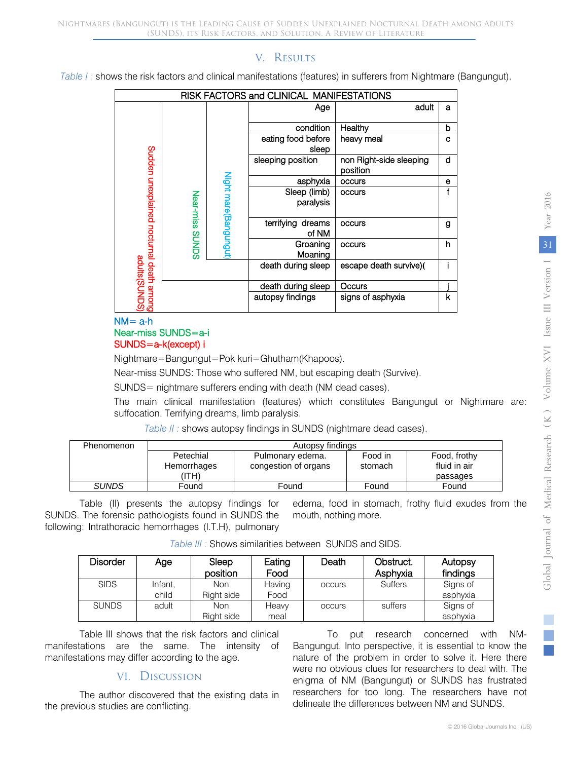## V. Results

*Table I :* shows the risk factors and clinical manifestations (features) in sufferers from Nightmare (Bangungut).

| RISK FACTORS and CLINICAL MANIFESTATIONS                 |                 |                       |                               |                                     |   |
|----------------------------------------------------------|-----------------|-----------------------|-------------------------------|-------------------------------------|---|
|                                                          |                 |                       | Age                           | adult                               | a |
|                                                          |                 |                       | condition                     | Healthy                             | b |
|                                                          |                 |                       | eating food before<br>sleep   | heavy meal                          | C |
| (SQNNS)sµnpe<br>6uqque queep  eunqoou peuje dxeun ueppnS |                 |                       | sleeping position             | non Right-side sleeping<br>position | d |
|                                                          |                 |                       | asphyxia                      | occurs                              | е |
|                                                          |                 |                       | Sleep (limb)                  | occurs                              | f |
|                                                          |                 |                       | paralysis                     |                                     |   |
|                                                          | Near-miss SUNDS | Night mare(Bangungut) | terrifying<br>dreams<br>of NM | occurs                              | g |
|                                                          |                 |                       | Groaning<br>Moaning           | occurs                              | h |
|                                                          |                 |                       | death during sleep            | escape death survive)(              |   |
|                                                          |                 |                       | death during sleep            | Occurs                              |   |
|                                                          |                 |                       | autopsy findings              | signs of asphyxia                   | k |

#### $NM = a-h$ Near-miss SUNDS=a-i SUNDS=a-k(except) i

Nightmare=Bangungut=Pok kuri=Ghutham(Khapoos).

Near-miss SUNDS: Those who suffered NM, but escaping death (Survive).

SUNDS= nightmare sufferers ending with death (NM dead cases).

The main clinical manifestation (features) which constitutes Bangungut or Nightmare are: suffocation. Terrifying dreams, limb paralysis.

*Table II :* shows autopsy findings in SUNDS (nightmare dead cases).

| Phenomenon   | Autopsy findings                  |                                          |                    |                                          |  |  |
|--------------|-----------------------------------|------------------------------------------|--------------------|------------------------------------------|--|--|
|              | Petechial<br>Hemorrhages<br>(ITH) | Pulmonary edema.<br>congestion of organs | Food in<br>stomach | Food, frothy<br>fluid in air<br>passages |  |  |
| <b>SUNDS</b> | Found                             | Found                                    | Found              | Found                                    |  |  |

Table (II) presents the autopsy findings for SUNDS. The forensic pathologists found in SUNDS the following: Intrathoracic hemorrhages (I.T.H), pulmonary edema, food in stomach, frothy fluid exudes from the mouth, nothing more.

|  | Table III : Shows similarities between SUNDS and SIDS. |  |  |
|--|--------------------------------------------------------|--|--|
|  |                                                        |  |  |

| Disorder     | Age     | Sleep<br>position | Eating<br>Food | Death         | Obstruct.<br>Asphyxia | Autopsy<br>findings |
|--------------|---------|-------------------|----------------|---------------|-----------------------|---------------------|
| <b>SIDS</b>  | Infant. | Non               | Having         | <b>OCCUIS</b> | <b>Suffers</b>        | Signs of            |
|              | child   | Right side        | Food           |               |                       | asphyxia            |
| <b>SUNDS</b> | adult   | Non               | Heavy          | <b>OCCUIS</b> | suffers               | Signs of            |
|              |         | Right side        | meal           |               |                       | asphyxia            |

Table III shows that the risk factors and clinical manifestations are the same. The intensity of manifestations may differ according to the age.

### VI. Discussion

The author discovered that the existing data in the previous studies are conflicting.

To put research concerned with NM-Bangungut. Into perspective, it is essential to know the nature of the problem in order to solve it. Here there were no obvious clues for researchers to deal with. The enigma of NM (Bangungut) or SUNDS has frustrated researchers for too long. The researchers have not delineate the differences between NM and SUNDS.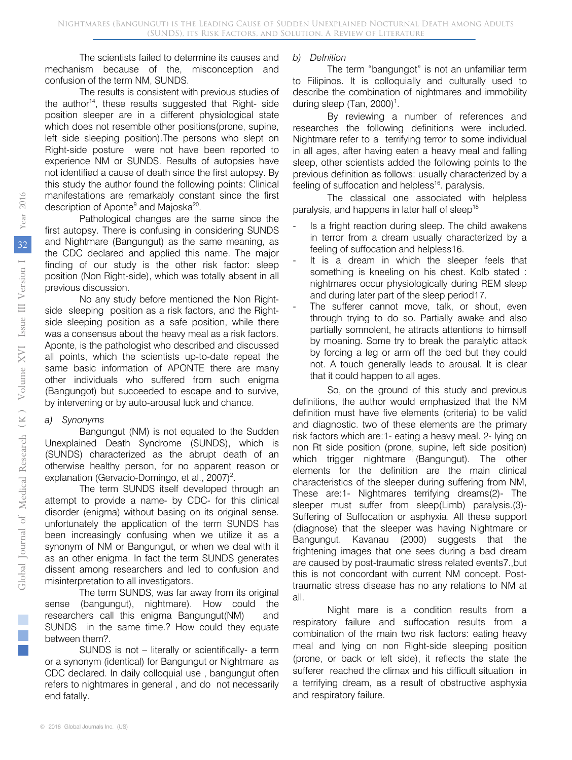The scientists failed to determine its causes and mechanism because of the, misconception and confusion of the term NM, SUNDS.

The results is consistent with previous studies of the author<sup>14</sup>, these results suggested that Right- side position sleeper are in a different physiological state which does not resemble other positions(prone, supine, left side sleeping position).The persons who slept on Right-side posture were not have been reported to experience NM or SUNDS. Results of autopsies have not identified a cause of death since the first autopsy. By this study the author found the following points: Clinical manifestations are remarkably constant since the first description of Aponte<sup>9</sup> and Majoska<sup>20</sup>.

Pathological changes are the same since the first autopsy. There is confusing in considering SUNDS and Nightmare (Bangungut) as the same meaning, as the CDC declared and applied this name. The major finding of our study is the other risk factor: sleep position (Non Right-side), which was totally absent in all previous discussion.

No any study before mentioned the Non Rightside sleeping position as a risk factors, and the Rightside sleeping position as a safe position, while there was a consensus about the heavy meal as a risk factors. Aponte, is the pathologist who described and discussed all points, which the scientists up-to-date repeat the same basic information of APONTE there are many other individuals who suffered from such enigma (Bangungot) but succeeded to escape and to survive, by intervening or by auto-arousal luck and chance.

#### *a) Synonyms*

Bangungut (NM) is not equated to the Sudden Unexplained Death Syndrome (SUNDS), which is (SUNDS) characterized as the abrupt death of an otherwise healthy person, for no apparent reason or explanation (Gervacio-Domingo, et al., 2007)<sup>2</sup>.

The term SUNDS itself developed through an attempt to provide a name- by CDC- for this clinical disorder (enigma) without basing on its original sense. unfortunately the application of the term SUNDS has been increasingly confusing when we utilize it as a synonym of NM or Bangungut, or when we deal with it as an other enigma. In fact the term SUNDS generates dissent among researchers and led to confusion and misinterpretation to all investigators.

The term SUNDS, was far away from its original sense (bangungut), nightmare). How could the researchers call this enigma Bangungut(NM) and SUNDS in the same time.? How could they equate between them?.

SUNDS is not – literally or scientifically- a term or a synonym (identical) for Bangungut or Nightmare as CDC declared. In daily colloquial use , bangungut often refers to nightmares in general , and do not necessarily end fatally.

#### *b) Defnition*

The term "bangungot" is not an unfamiliar term to Filipinos. It is colloquially and culturally used to describe the combination of nightmares and immobility during sleep (Tan,  $2000$ )<sup>1</sup>.

By reviewing a number of references and researches the following definitions were included. Nightmare refer to a terrifying terror to some individual in all ages, after having eaten a heavy meal and falling sleep, other scientists added the following points to the previous definition as follows: usually characterized by a feeling of suffocation and helpless<sup>16</sup>. paralysis.

The classical one associated with helpless paralysis, and happens in later half of sleep<sup>18</sup>

- Is a fright reaction during sleep. The child awakens in terror from a dream usually characterized by a feeling of suffocation and helpless16.
- It is a dream in which the sleeper feels that something is kneeling on his chest. Kolb stated : nightmares occur physiologically during REM sleep and during later part of the sleep period17.
- The sufferer cannot move, talk, or shout, even through trying to do so. Partially awake and also partially somnolent, he attracts attentions to himself by moaning. Some try to break the paralytic attack by forcing a leg or arm off the bed but they could not. A touch generally leads to arousal. It is clear that it could happen to all ages.

So, on the ground of this study and previous definitions, the author would emphasized that the NM definition must have five elements (criteria) to be valid and diagnostic. two of these elements are the primary risk factors which are:1- eating a heavy meal. 2- lying on non Rt side position (prone, supine, left side position) which trigger nightmare (Bangungut). The other elements for the definition are the main clinical characteristics of the sleeper during suffering from NM, These are:1- Nightmares terrifying dreams(2)- The sleeper must suffer from sleep(Limb) paralysis.(3)- Suffering of Suffocation or asphyxia. All these support (diagnose) that the sleeper was having Nightmare or Bangungut. Kavanau (2000) suggests that the frightening images that one sees during a bad dream are caused by post-traumatic stress related events7.,but this is not concordant with current NM concept. Posttraumatic stress disease has no any relations to NM at all.

Night mare is a condition results from a respiratory failure and suffocation results from a combination of the main two risk factors: eating heavy meal and lying on non Right-side sleeping position (prone, or back or left side), it reflects the state the sufferer reached the climax and his difficult situation in a terrifying dream, as a result of obstructive asphyxia and respiratory failure.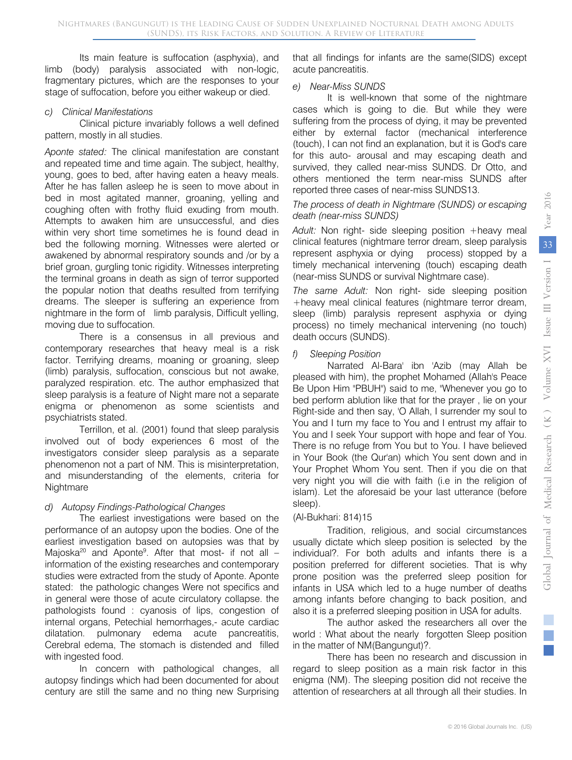Its main feature is suffocation (asphyxia), and limb (body) paralysis associated with non-logic, fragmentary pictures, which are the responses to your stage of suffocation, before you either wakeup or died.

#### *c) Clinical Manifestations*

Clinical picture invariably follows a well defined pattern, mostly in all studies.

*Aponte stated:* The clinical manifestation are constant and repeated time and time again. The subject, healthy, young, goes to bed, after having eaten a heavy meals. After he has fallen asleep he is seen to move about in bed in most agitated manner, groaning, yelling and coughing often with frothy fluid exuding from mouth. Attempts to awaken him are unsuccessful, and dies within very short time sometimes he is found dead in bed the following morning. Witnesses were alerted or awakened by abnormal respiratory sounds and /or by a brief groan, gurgling tonic rigidity. Witnesses interpreting the terminal groans in death as sign of terror supported the popular notion that deaths resulted from terrifying dreams. The sleeper is suffering an experience from nightmare in the form of limb paralysis, Difficult yelling, moving due to suffocation.

There is a consensus in all previous and contemporary researches that heavy meal is a risk factor. Terrifying dreams, moaning or groaning, sleep (limb) paralysis, suffocation, conscious but not awake, paralyzed respiration. etc. The author emphasized that sleep paralysis is a feature of Night mare not a separate enigma or phenomenon as some scientists and psychiatrists stated.

Terrillon, et al. (2001) found that sleep paralysis involved out of body experiences 6 most of the investigators consider sleep paralysis as a separate phenomenon not a part of NM. This is misinterpretation, and misunderstanding of the elements, criteria for Nightmare

#### *d) Autopsy Findings-Pathological Changes*

The earliest investigations were based on the performance of an autopsy upon the bodies. One of the earliest investigation based on autopsies was that by Majoska<sup>20</sup> and Aponte<sup>9</sup>. After that most- if not all – information of the existing researches and contemporary studies were extracted from the study of Aponte. Aponte stated: the pathologic changes Were not specifics and in general were those of acute circulatory collapse. the pathologists found : cyanosis of lips, congestion of internal organs, Petechial hemorrhages,- acute cardiac dilatation. pulmonary edema acute pancreatitis, Cerebral edema, The stomach is distended and filled with ingested food.

In concern with pathological changes, all autopsy findings which had been documented for about century are still the same and no thing new Surprising that all findings for infants are the same(SIDS) except acute pancreatitis.

#### *e) Near-Miss SUNDS*

It is well-known that some of the nightmare cases which is going to die. But while they were suffering from the process of dying, it may be prevented either by external factor (mechanical interference (touch), I can not find an explanation, but it is God's care for this auto- arousal and may escaping death and survived, they called near-miss SUNDS. Dr Otto, and others mentioned the term near-miss SUNDS after reported three cases of near-miss SUNDS13.

#### *The process of death in Nightmare (SUNDS) or escaping death (near-miss SUNDS)*

*Adult:* Non right- side sleeping position +heavy meal clinical features (nightmare terror dream, sleep paralysis represent asphyxia or dying process) stopped by a timely mechanical intervening (touch) escaping death (near-miss SUNDS or survival Nightmare case).

*The same Adult:* Non right- side sleeping position +heavy meal clinical features (nightmare terror dream, sleep (limb) paralysis represent asphyxia or dying process) no timely mechanical intervening (no touch) death occurs (SUNDS).

#### *f) Sleeping Position*

Narrated Al-Bara' ibn 'Azib (may Allah be pleased with him), the prophet Mohamed (Allah's Peace Be Upon Him "PBUH") said to me, "Whenever you go to bed perform ablution like that for the prayer , lie on your Right-side and then say, 'O Allah, I surrender my soul to You and I turn my face to You and I entrust my affair to You and I seek Your support with hope and fear of You. There is no refuge from You but to You. I have believed in Your Book (the Qur'an) which You sent down and in Your Prophet Whom You sent. Then if you die on that very night you will die with faith (i.e in the religion of islam). Let the aforesaid be your last utterance (before sleep).

#### (Al-Bukhari: 814)15

Tradition, religious, and social circumstances usually dictate which sleep position is selected by the individual?. For both adults and infants there is a position preferred for different societies. That is why prone position was the preferred sleep position for infants in USA which led to a huge number of deaths among infants before changing to back position, and also it is a preferred sleeping position in USA for adults.

The author asked the researchers all over the world : What about the nearly forgotten Sleep position in the matter of NM(Bangungut)?.

There has been no research and discussion in regard to sleep position as a main risk factor in this enigma (NM). The sleeping position did not receive the attention of researchers at all through all their studies. In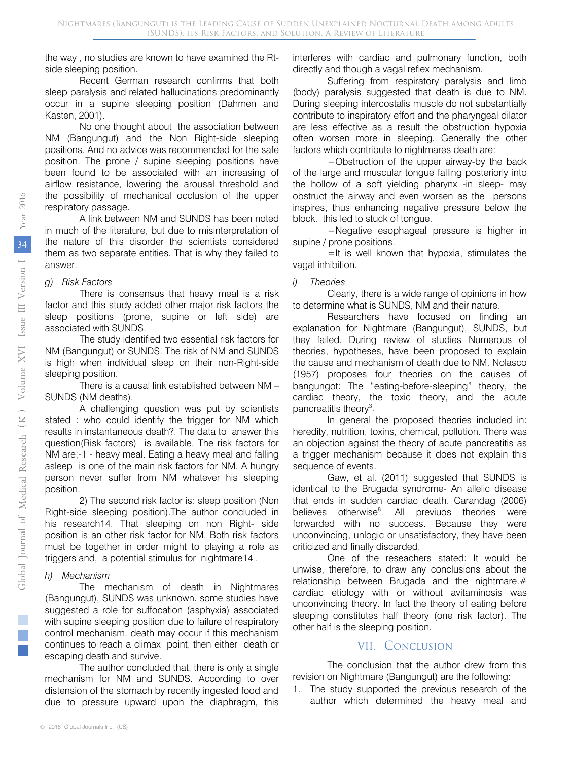the way , no studies are known to have examined the Rtside sleeping position.

Recent German research confirms that both sleep paralysis and related hallucinations predominantly occur in a supine sleeping position (Dahmen and Kasten, 2001).

No one thought about the association between NM (Bangungut) and the Non Right-side sleeping positions. And no advice was recommended for the safe position. The prone / supine sleeping positions have been found to be associated with an increasing of airflow resistance, lowering the arousal threshold and the possibility of mechanical occlusion of the upper respiratory passage.

A link between NM and SUNDS has been noted in much of the literature, but due to misinterpretation of the nature of this disorder the scientists considered them as two separate entities. That is why they failed to answer.

#### *g) Risk Factors*

There is consensus that heavy meal is a risk factor and this study added other major risk factors the sleep positions (prone, supine or left side) are associated with SUNDS.

The study identified two essential risk factors for NM (Bangungut) or SUNDS. The risk of NM and SUNDS is high when individual sleep on their non-Right-side sleeping position.

There is a causal link established between NM – SUNDS (NM deaths).

A challenging question was put by scientists stated : who could identify the trigger for NM which results in instantaneous death?. The data to answer this question(Risk factors) is available. The risk factors for NM are;-1 - heavy meal. Eating a heavy meal and falling asleep is one of the main risk factors for NM. A hungry person never suffer from NM whatever his sleeping position.

2) The second risk factor is: sleep position (Non Right-side sleeping position).The author concluded in his research14. That sleeping on non Right- side position is an other risk factor for NM. Both risk factors must be together in order might to playing a role as triggers and, a potential stimulus for nightmare14 .

#### *h) Mechanism*

The mechanism of death in Nightmares (Bangungut), SUNDS was unknown. some studies have suggested a role for suffocation (asphyxia) associated with supine sleeping position due to failure of respiratory control mechanism. death may occur if this mechanism continues to reach a climax point, then either death or escaping death and survive.

The author concluded that, there is only a single mechanism for NM and SUNDS. According to over distension of the stomach by recently ingested food and due to pressure upward upon the diaphragm, this interferes with cardiac and pulmonary function, both directly and though a vagal reflex mechanism.

Suffering from respiratory paralysis and limb (body) paralysis suggested that death is due to NM. During sleeping intercostalis muscle do not substantially contribute to inspiratory effort and the pharyngeal dilator are less effective as a result the obstruction hypoxia often worsen more in sleeping. Generally the other factors which contribute to nightmares death are:

=Obstruction of the upper airway-by the back of the large and muscular tongue falling posteriorly into the hollow of a soft yielding pharynx -in sleep- may obstruct the airway and even worsen as the persons inspires, thus enhancing negative pressure below the block. this led to stuck of tongue.

=Negative esophageal pressure is higher in supine / prone positions.

=It is well known that hypoxia, stimulates the vagal inhibition.

#### *i) Theories*

Clearly, there is a wide range of opinions in how to determine what is SUNDS, NM and their nature.

Researchers have focused on finding an explanation for Nightmare (Bangungut), SUNDS, but they failed. During review of studies Numerous of theories, hypotheses, have been proposed to explain the cause and mechanism of death due to NM. Nolasco (1957) proposes four theories on the causes of bangungot: The "eating-before-sleeping" theory, the cardiac theory, the toxic theory, and the acute pancreatitis theory<sup>3</sup>.

In general the proposed theories included in: heredity, nutrition, toxins, chemical, pollution. There was an objection against the theory of acute pancreatitis as a trigger mechanism because it does not explain this sequence of events.

Gaw, et al. (2011) suggested that SUNDS is identical to the Brugada syndrome- An allelic disease that ends in sudden cardiac death. Carandag (2006) believes otherwise<sup>8</sup>. All previuos theories were forwarded with no success. Because they were unconvincing, unlogic or unsatisfactory, they have been criticized and finally discarded.

One of the reseachers stated: It would be unwise, therefore, to draw any conclusions about the relationship between Brugada and the nightmare.# cardiac etiology with or without avitaminosis was unconvincing theory. In fact the theory of eating before sleeping constitutes half theory (one risk factor). The other half is the sleeping position.

#### VII. Conclusion

The conclusion that the author drew from this revision on Nightmare (Bangungut) are the following:

1. The study supported the previous research of the author which determined the heavy meal and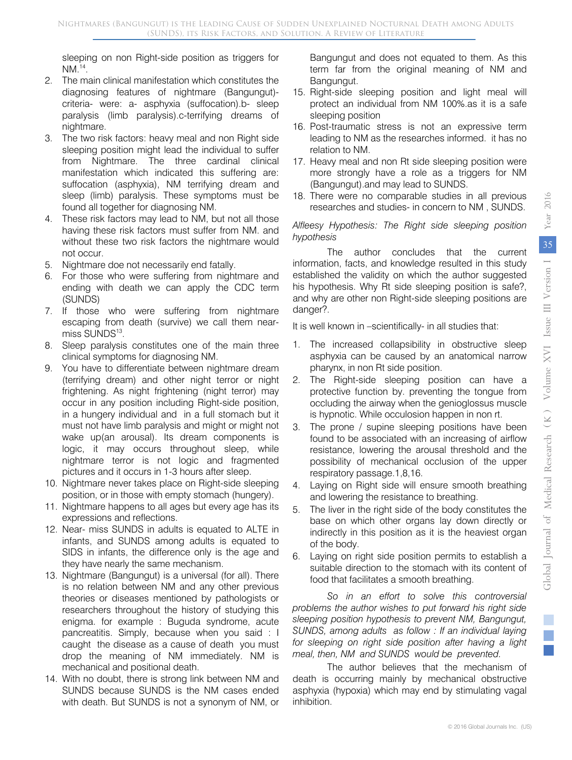sleeping on non Right-side position as triggers for NM.14.

- 2. The main clinical manifestation which constitutes the diagnosing features of nightmare (Bangungut) criteria- were: a- asphyxia (suffocation).b- sleep paralysis (limb paralysis).c-terrifying dreams of nightmare.
- 3. The two risk factors: heavy meal and non Right side sleeping position might lead the individual to suffer from Nightmare. The three cardinal clinical manifestation which indicated this suffering are: suffocation (asphyxia), NM terrifying dream and sleep (limb) paralysis. These symptoms must be found all together for diagnosing NM.
- 4. These risk factors may lead to NM, but not all those having these risk factors must suffer from NM. and without these two risk factors the nightmare would not occur.
- 5. Nightmare doe not necessarily end fatally.
- 6. For those who were suffering from nightmare and ending with death we can apply the CDC term (SUNDS)
- 7. If those who were suffering from nightmare escaping from death (survive) we call them nearmiss SUNDS<sup>13</sup>.
- 8. Sleep paralysis constitutes one of the main three clinical symptoms for diagnosing NM.
- 9. You have to differentiate between nightmare dream (terrifying dream) and other night terror or night frightening. As night frightening (night terror) may occur in any position including Right-side position, in a hungery individual and in a full stomach but it must not have limb paralysis and might or might not wake up(an arousal). Its dream components is logic, it may occurs throughout sleep, while nightmare terror is not logic and fragmented pictures and it occurs in 1-3 hours after sleep.
- 10. Nightmare never takes place on Right-side sleeping position, or in those with empty stomach (hungery).
- 11. Nightmare happens to all ages but every age has its expressions and reflections.
- 12. Near- miss SUNDS in adults is equated to ALTE in infants, and SUNDS among adults is equated to SIDS in infants, the difference only is the age and they have nearly the same mechanism.
- 13. Nightmare (Bangungut) is a universal (for all). There is no relation between NM and any other previous theories or diseases mentioned by pathologists or researchers throughout the history of studying this enigma. for example : Buguda syndrome, acute pancreatitis. Simply, because when you said : I caught the disease as a cause of death you must drop the meaning of NM immediately. NM is mechanical and positional death.
- 14. With no doubt, there is strong link between NM and SUNDS because SUNDS is the NM cases ended with death. But SUNDS is not a synonym of NM, or

Bangungut and does not equated to them. As this term far from the original meaning of NM and Bangungut.

- 15. Right-side sleeping position and light meal will protect an individual from NM 100%.as it is a safe sleeping position
- 16. Post-traumatic stress is not an expressive term leading to NM as the researches informed. it has no relation to NM.
- 17. Heavy meal and non Rt side sleeping position were more strongly have a role as a triggers for NM (Bangungut).and may lead to SUNDS.
- 18. There were no comparable studies in all previous researches and studies- in concern to NM , SUNDS.

#### *Alfleesy Hypothesis: The Right side sleeping position hypothesis*

The author concludes that the current information, facts, and knowledge resulted in this study established the validity on which the author suggested his hypothesis. Why Rt side sleeping position is safe?, and why are other non Right-side sleeping positions are danger?.

It is well known in –scientifically- in all studies that:

- 1. The increased collapsibility in obstructive sleep asphyxia can be caused by an anatomical narrow pharynx, in non Rt side position.
- 2. The Right-side sleeping position can have a protective function by. preventing the tongue from occluding the airway when the genioglossus muscle is hypnotic. While occulosion happen in non rt.
- 3. The prone / supine sleeping positions have been found to be associated with an increasing of airflow resistance, lowering the arousal threshold and the possibility of mechanical occlusion of the upper respiratory passage.1,8,16.
- 4. Laying on Right side will ensure smooth breathing and lowering the resistance to breathing.
- 5. The liver in the right side of the body constitutes the base on which other organs lay down directly or indirectly in this position as it is the heaviest organ of the body.
- 6. Laying on right side position permits to establish a suitable direction to the stomach with its content of food that facilitates a smooth breathing.

*So in an effort to solve this controversial problems the author wishes to put forward his right side sleeping position hypothesis to prevent NM, Bangungut, SUNDS, among adults as follow : If an individual laying for sleeping on right side position after having a light meal, then, NM and SUNDS would be prevented.*

The author believes that the mechanism of death is occurring mainly by mechanical obstructive asphyxia (hypoxia) which may end by stimulating vagal inhibition.